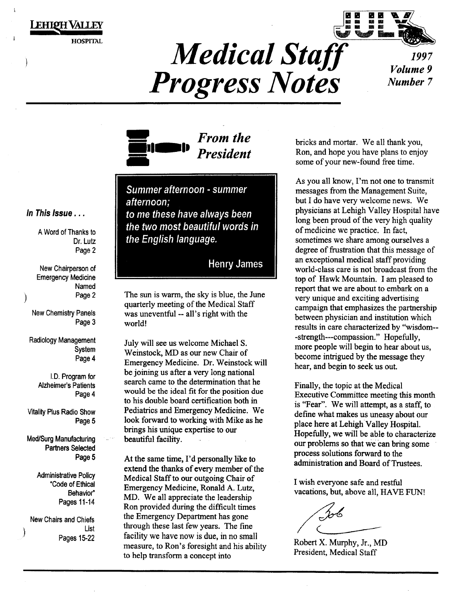LEHIQH VAI

HOSPITAL

*Medical Staff* 1997 *Progress Notes* 

1111 1111 '" . - 111111111 111111111 v '-" ... 1111111111&1111-...:.

*Number* 7



Summer afternoon - summer afternoon; to me these have always been the two most beautiful words in the English language.

#### Henry James

The sun is warm, the sky is blue, the June quarterly meeting of the Medical Staff was uneventful -- all's right with the world!

July will see us welcome Michael S. Weinstock, MD as our new Chair of Emergency Medicine. Dr. Weinstock will be joining us after a very long national search came to the determination that he would be the ideal fit for the position due to his double board certification both in Pediatrics and Emergency Medicine. We look forward to working with Mike as he brings his unique expertise to our beautiful facility.

At the same time, I'd personally like to extend the thanks of every member of the Medical Staff to our outgoing Chair of Emergency Medicine, Ronald A. Lutz, MD. We all appreciate the leadership Ron provided during the difficult times the Emergency Department has gone through these last few years. The fine facility we have now is due, in no small measure, to Ron's foresight and his ability to help transform a concept into

bricks and mortar. We all thank you, Ron, and hope you have plans to enjoy some of your new-found free time.

As you all know, I'm not one to transmit messages from the Management Suite, but I do have very welcome news. We physicians at Lehigh Valley Hospital have long been proud of the very high quality of medicine we practice. In fact, sometimes we share among ourselves a degree of frustration that this message of an exceptional medical staff providing world-class care is not broadcast from the top of Hawk Mountain. I am pleased to report that we are about to embark on a very unique and exciting advertising campaign that emphasizes the partnership between physician and institution which results in care characterized by "wisdom-- -strength---compassion." Hopefully, more people will begin to hear about us, become intrigued by the message they hear, and begin to seek us out.

Finally, the topic at the Medical Executive Committee meeting this month is "Fear". We will attempt, as a staff, to define what makes us uneasy about our place here at Lehigh Valley Hospital. Hopefully, we will be able to characterize our problems so that we can bring some process solutions forward to the administration and Board of Trustees.

I wish everyone safe and restful vacations, but, above all, HAVE FUN!

Robert X. Murphy, Jr., MD President, Medical Staff

#### In This Issue ...

A Word of Thanks to Dr. Lutz Page 2

New Chairperson of Emergency Medicine Named Page 2

New Chemistry Panels Page 3

*)* 

Radiology Management System Page 4

> I. D. Program for Alzheimer's Patients Page 4

Vitality Plus Radio Show Page 5

Med/Surg Manufacturing Partners Selected Page 5

> Administrative Policy "Code of Ethical Behavior" Pages 11-14

New Chairs and Chiefs List Pages 15-22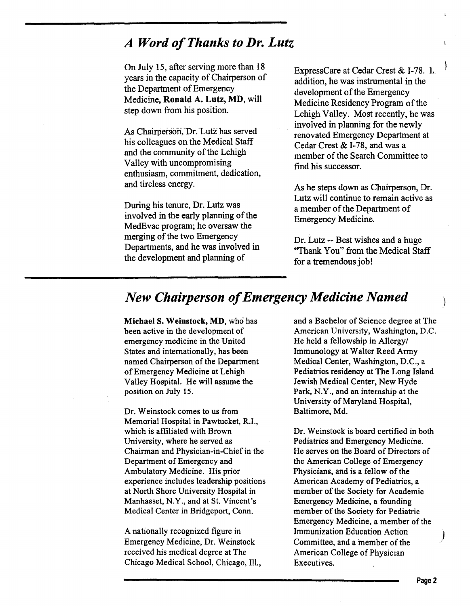## *A Word of Thanks to Dr. Lutz*

On July 15, after serving more than 18 years in the capacity of Chairperson of the Department of Emergency Medicine, Ronald A. Lutz, MD, will step down from his position.

As Chairperson, Dr. Lutz has served his colleagues on the Medical Staff and the community of the Lehigh Valley with uncompromising enthusiasm, commitment, dedication, and tireless energy.

During his tenure, Dr. Lutz was involved in the early planning of the MedEvac program; he oversaw the merging of the two Emergency Departments, and he was involved in the development and planning of

ExpressCare at Cedar Crest & I-78. L. addition, he was instrumental in the development of the Emergency Medicine Residency Program of the Lehigh Valley. Most recently, he was involved in planning for the newly renovated Emergency Department at Cedar Crest & 1-78, and was a member of the Search Committee to find his successor.

As he steps down as Chairperson, Dr. Lutz will continue to remain active as a member of the Department of Emergency Medicine.

Dr. Lutz -- Best wishes and a huge "Thank You" from the Medical Staff for a tremendous job!

## *New Chairperson of Emergency Medicine Named*

Michael S. Weinstock, MD, who has been active in the development of emergency medicine in the United States and internationally, has been named Chairperson of the Department of Emergency Medicine at Lehigh Valley Hospital. He will assume the position on July 15.

Dr. Weinstock comes to us from Memorial Hospital in Pawtucket, R.I., which is affiliated with Brown University, where he served as Chairman and Physician-in-Chief in the Department of Emergency and Ambulatory Medicine. His prior experience includes leadership positions at North Shore University Hospital in Manhasset, N.Y., and at St. Vincent's Medical Center in Bridgeport, Conn.

A nationally recognized figure in Emergency Medicine, Dr. Weinstock received his medical degree at The Chicago Medical School, Chicago, Ill.,

and a Bachelor of Science degree at The American University, Washington, D.C. He held a fellowship in Allergy/ Immunology at Walter Reed Army Medical Center, Washington, D.C., a Pediatrics residency at The Long Island Jewish Medical Center, New Hyde Park, N.Y., and an internship at the University of Maryland Hospital, Baltimore, Md.

Dr. Weinstock is board certified in both Pediatrics and Emergency Medicine. He serves on the Board of Directors of the American College of Emergency Physicians, and is a fellow of the American Academy of Pediatrics, a member of the Society for Academic Emergency Medicine, a founding member of the Society for Pediatric Emergency Medicine, a member of the Immunization Education Action Committee, and a member of the American College of Physician Executives.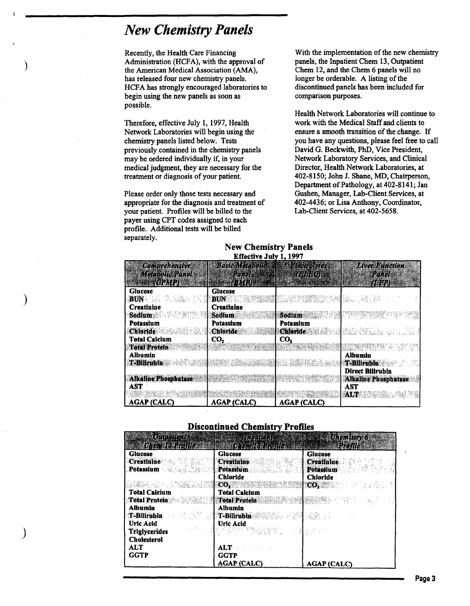## *New Chemistry Panels*

)

)

)

Recently, the Health Care Financing Administration (HCFA), with the approval of the American Medical Association (AMA), has released four new chemistry panels. HCFA has strongly encouraged laboratories to begin using the new panels as soon as possible.

Therefore, effective July 1, 1997, Health Network Laboratories will begin using the chemistry panels listed below. Tests previously contained in the chemistry panels may be ordered individually if, in your medical judgment, they are necessary for the treatment or diagnosis of your patient.

Please order only those tests necessary and appropriate for the diagnosis and treatment of your patient. Profiles will be billed to the payer using CPT codes assigned to each profile. Additional tests will be billed separately.

With the implementation of the new chemistry panels, the Inpatient Chem 13, Outpatient Chern 12, and the Chern 6 panels will no longer be orderable. A listing of the discontinued panels has been included for comparison purposes.

Health Network Laboratories will continue to work with the Medical Staff and clients to ensure a smooth transition of the change. If you have any questions, please feel free to call David G. Beckwith, PhD, Vice President, Network Laboratory Services, and Clinical Director, Health Network Laboratories, at 402-8150; John J. Shane, MD, Chairperson, Department of Pathology, at 402-8141; Jan Gushen, Manager, Lab-Client Services, at 402-4436; or Lisa Anthony, Coordinator, Lab-Client Services, at 402-5658.

#### New Chemistry Panels Effective July 1, 1997

| Comprehensive<br>Menivolfe Ronel           | <b>Basic Metabolics</b><br>ww.a            | <b>Sile of Autority</b><br><b>E AMMOR</b> | <b>Myan Altrefor</b><br>720.CH                |
|--------------------------------------------|--------------------------------------------|-------------------------------------------|-----------------------------------------------|
| $^{(0,0,0,0)}$                             | <b>ETRMPIE EN</b>                          |                                           | <b>TANA</b>                                   |
| Glucose<br><b>BUN</b><br><b>Creatinine</b> | <b>Glucose</b><br>BUN<br><b>Creatinine</b> |                                           |                                               |
| <b>Sodium</b><br>Potassium                 | <b>Sodium</b><br>Potassium                 | Sodium<br>Potassium                       |                                               |
| <b>Chloride</b><br><b>Total Calcium</b>    | <b>Chloride</b><br>CO,                     | <b>Chloride</b><br>CO,                    |                                               |
| <b>Total Protein</b><br>Albumin            |                                            |                                           | <u>mental</u><br><b>Albumin</b>               |
| <b>T-Billfubin</b>                         |                                            |                                           | <b>T-Bilirubin</b><br><b>Direct Bilirubin</b> |
| <b>Alkaline Phosphatase</b><br>AST         |                                            |                                           | <b>Alkaline Phosphatase</b><br>AST            |
| <b>AGAP (CALC)</b>                         | <b>AGAP (CALC)</b>                         | <b>AGAP (CALC)</b>                        | AGB                                           |

#### **Discontinued Chemistry Profiles**

| <b>Compating</b><br>Chert 12, Voille                                  | <b>Anggreat</b><br><b>Charlotte Balling</b>                                                                                                                    | <b>Chemistry 6</b>                                 |
|-----------------------------------------------------------------------|----------------------------------------------------------------------------------------------------------------------------------------------------------------|----------------------------------------------------|
| <b>Glucose</b><br>Creatinine <b>Communication</b><br>Potassium        | Glucose<br><b>Creatinine</b><br>Potassium                                                                                                                      | <b>Glucose</b><br><b>Creatinine Creatinine</b>     |
| anka sa shikarin                                                      | <b>Chloride</b><br>$CO2$ . The set of $\{1,2,3,4\}$                                                                                                            | Chloride<br><b>COASTERN COMMENTARY COASTERNIES</b> |
| <b>Total Calcium</b><br><b>Total Protein Manual</b><br><b>Albumin</b> | <b>Total Calcium</b><br><b>Total Protein and Additional Protein and Additional Protein and Additional Protein and Additional Protein and</b><br><b>Albumin</b> |                                                    |
| <b>Uric Acid</b>                                                      | T-Bilirubin and the first of T-Bilirubin and the second second<br><b>Uric Acid</b><br>1.15% STATES TO STATE STATES                                             |                                                    |
| <b>Triglycerides</b><br><b>Cholesterol</b><br><b>ALT</b>              | ${\bf ALT}$ is the set of $\mathbb{R}^n$                                                                                                                       |                                                    |
| <b>GGTP</b>                                                           | <b>GGTP</b><br><b>AGAP (CALC)</b>                                                                                                                              | <b>AGAP (CALC)</b>                                 |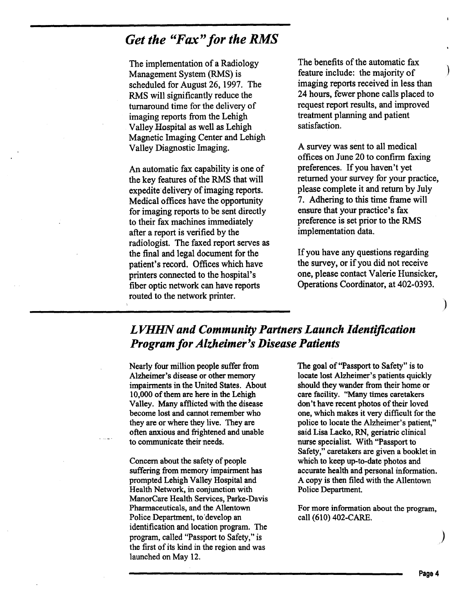## *Get the "Fax" for the RMS*

The implementation of a Radiology Management System (RMS) is scheduled for August 26, 1997. The RMS will significantly reduce the turnaround time for the delivery of imaging reports from the Lehigh Valley Hospital as well as Lehigh Magnetic Imaging Center and Lehigh Valley Diagnostic Imaging.

An automatic fax capability is one of the key features of the RMS that will expedite delivery of imaging reports. Medical offices have the opportunity for imaging reports to be sent directly to their fax machines immediately after a report is verified by the radiologist. The faxed report serves as the final and legal document for the patient's record. Offices which have printers connected to the hospital's fiber optic network can have reports routed to the network printer.

The benefits of the automatic fax feature include: the majority of ) imaging reports received in less than 24 hours, fewer phone calls placed to request report results, and improved treatment planning and patient satisfaction.

A survey was sent to all medical offices on June 20 to confirm faxing preferences. If you haven't yet returned your survey for your practice, please complete it and return by July 7. Adhering to this time frame will ensure that your practice's fax preference is set prior to the RMS implementation data.

If you have any questions regarding the survey, or if you did not receive one, please contact Valerie Hunsicker, Operations Coordinator, at 402-0393.

## *L VHHN and Community Partners Launch Identification Program for Alzheimer's Disease Patients*

Nearly four million people suffer from Alzheimer's disease or other memory impairments in the United States. About 10,000 of them are here in the Lehigh Valley. Many afflicted with the disease become lost and cannot remember who they are or where they live. They are often anxious and frightened and unable to communicate their needs.

Concern about the safety of people suffering from memory impairment has prompted Lehigh Valley Hospital and Health Network, in conjunction with ManorCare Health Services, Parke-Davis Pharmaceuticals, and the Allentown Police Department, to 'develop an identification and location program. The program, called "Passport to Safety," is the first of its kind in the region and was launched on May 12.

The goal of "Passport to Safety" is to locate lost Alzheimer's patients quickly should they wander from their home or care facility. "Many times caretakers don't have recent photos of their loved one, which makes it very difficult for the police to locate the Alzheimer's patient," said Lisa Lacko, RN, geriatric clinical nurse specialist. With "Passport to Safety," caretakers are given a booklet in which to keep up-to-date photos and accurate health and personal information. A copy is then filed with the Allentown Police Department.

For more information about the program, call (610) 402-CARE.

 $\big)$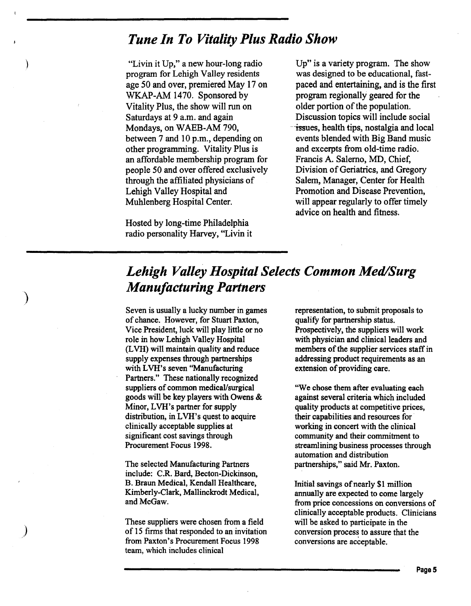## *Tune In To Vitality Plus Radio Show*

"Livin it Up," a new hour-long radio program for Lehigh Valley residents age 50 and over, premiered May 17 on WKAP-AM 1470. Sponsored by Vitality Plus, the show will run on Saturdays at 9 a.m. and again Mondays, on WAEB-AM 790, between 7 and 10 p.m., depending on other programming. Vitality Plus is an affordable membership program for people 50 and over offered exclusively through the affiliated physicians of Lehigh Valley Hospital and Muhlenberg Hospital Center.

)

)

 $\big)$ 

Hosted by long-time Philadelphia radio personality Harvey, "Livin it

Up" is a variety program. The show was designed to be educational, fastpaced and entertaining, and is the first program regionally geared for the older portion of the population. Discussion topics will include social issues, health tips, nostalgia and local events blended with Big Band music and excerpts from old-time radio. Francis A. Salerno, MD, Chief, Division of Geriatrics, and Gregory Salem, Manager, Center for Health Promotion and Disease Prevention, will appear regularly to offer timely advice on health and fitness.

## *Lehigh Valley Hospital Selects Common Med/Surg Manufacturing Partners*

Seven is usually a lucky number in games of chance. However, for Stuart Paxton, Vice President, luck will play little or no role in how Lehigh Valley Hospital (LVH) will maintain quality and reduce supply expenses through partnerships with LVH's seven "Manufacturing Partners." These nationally recognized suppliers of common medical/surgical goods will be key players with Owens & Minor, LVH's partner for supply distribution, in LVH's quest to acquire clinically acceptable supplies at significant cost savings through Procurement Focus 1998.

The selected Manufacturing Partners include: C.R. Bard, Becton-Dickinson, B. Braun Medical, Kendall Healthcare, Kimberly-Clark, Mallinckrodt Medical, and McGaw.

These suppliers were chosen from a field of 15 firms that responded to an invitation from Paxton's Procurement Focus 1998 team, which includes clinical

representation, to submit proposals to qualify for partnership status. Prospectively, the suppliers will work with physician and clinical leaders and members of the supplier services staff in addressing product requirements as an extension of providing care.

"We chose them after evaluating each against several criteria which included quality products at competitive prices, their capabilities and resources for · working in concert with the clinical community and their commitment to streamlining business processes through automation and distribution partnerships," said Mr. Paxton.

Initial savings ofnearly \$1 million annually are expected to come largely from price concessions on conversions of clinically acceptable products. Clinicians will be asked to participate in the conversion process to assure that the conversions are acceptable.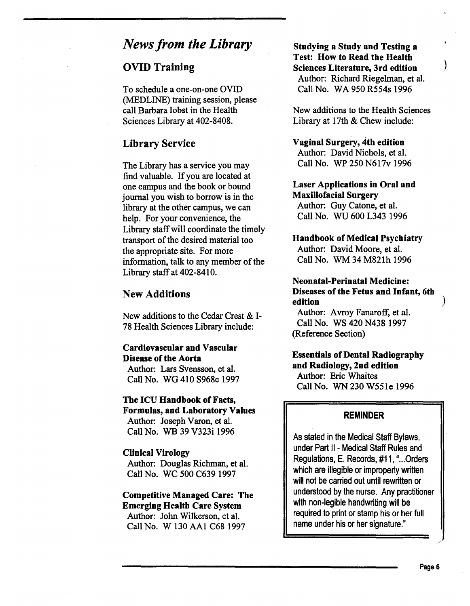## *News from the Library*

### OVID Training

To schedule a one-on-one OVID (MEDLINE) training session, please call Barbara Iobst in the Health Sciences Library at 402-8408.

#### Library Service

The Library has a service you may find valuable. If you are located at one campus and the book or bound journal you wish to borrow is in the library at the other campus, we can help. For your convenience, the Library staff will coordinate the timely transport of the desired material too the appropriate site. For more information, talk to any member of the Library staff at 402-8410.

#### New Additions

New additions to the Cedar Crest & I-78 Health Sciences Library include:

#### Cardiovascular and Vascular Disease of the Aorta

Author: Lars Svensson, et al. Call No. WG 410 S968c 1997

The ICU Handbook of Facts, Formulas, and Laboratory Values Author: Joseph Varon, et al. Call No. WB 39 V323i 1996

Clinical Virology Author: Douglas Richman, et al. Call No. WC 500 C6391997

Competitive Managed Care: The Emerging Health Care System Author: John Wilkerson, et al. Call No. W 130 AAl C68 1997

#### Studying a Study and Testing a Test: How to Read the Health Sciences Literature, 3rd edition ) Author: Richard Riegelman, et al. Call No. WA 950 R554s 1996

New additions to the Health Sciences Library at 17th & Chew include:

## Vaginal Surgery, 4th edition

Author: David Nichols, et al. Call No. WP 250 N617v 1996

#### Laser Applications in Oral and Maxillofacial Surgery

Author: Guy Catone, et al. Call No. WU 600 L343 1996

#### Handbook of Medical Psychiatry

Author: David Moore, et al. Call No. WM 34 M821h 1996

#### Neonatal-Perinatal Medicine: Diseases of the Fetus and Infant, 6tb edition *)*

Author: Avroy Fanaroff, et al. Call No. WS 420 N438 1997 (Reference Section)

#### Essentials of Dental Radiography and Radiology, 2nd edition Author: Eric Whaites Call No. WN 230 W551e 1996

#### REMINDER

As stated in the Medical Staff Bylaws, under Part II - Medical Staff Rules and Regulations, E. Records, #11, "... Orders which are illegible or improperly written will not be carried out until rewritten or understood by the nurse. Any practitioner with non-legible handwriting will be required to print or stamp his or her full name under his or her signature."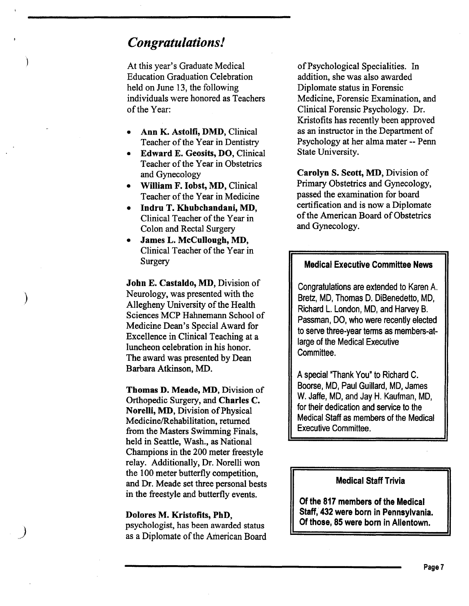## *Congratulations!*

At this year's Graduate Medical Education Graduation Celebration held on June 13, the following individuals were honored as Teachers of the Year:

- Ann K. Astolfi, DMD, Clinical Teacher of the Year in Dentistry
- Edward E. Geosits, DO, Clinical Teacher of the Year in Obstetrics and Gynecology
- William F. lobst, MD, Clinical Teacher of the Year in Medicine
- lndru T. Khubchandani, MD, Clinical Teacher of the Year in Colon and Rectal Surgery
- James L. McCullough, MD, Clinical Teacher of the Year in Surgery

)

 $\mathcal{Y}$ 

John E. Castaldo, MD, Division of Neurology, was presented with the Allegheny University of the Health Sciences MCP Hahnemann School of Medicine Dean's Special Award for Excellence in Clinical Teaching at a luncheon celebration in his honor. The award was presented by Dean Barbara Atkinson, MD.

Thomas D. Meade, MD, Division of Orthopedic Surgery, and Charles C. Norelli, MD, Division of Physical Medicine/Rehabilitation, returned from the Masters Swimming Finals, held in Seattle, Wash., as National Champions in the 200 meter freestyle relay. Additionally, Dr. Norelli won the 100 meter butterfly competition, and Dr. Meade set three personal bests in the freestyle and butterfly events.

#### Dolores M. Kristofits, PhD,

psychologist, has been awarded status as a Diplomate of the American Board ofPsychological Specialities. In addition, she was also awarded Diplomate status in Forensic Medicine, Forensic Examination, and Clinical Forensic Psychology. Dr. Kristofits has recently been approved as an instructor in the Department of Psychology at her alma mater -- Penn State University.

Carolyn S. Scott, MD, Division of Primary Obstetrics and Gynecology, passed the examination for board certification and is now a Diplomate of the American Board of Obstetrics and Gynecology.

#### Medical Executive Committee News

Congratulations are extended to Karen A. Bretz, MD, Thomas D. DiBenedetto, MD, Richard L. London, MD, and Harvey B. Passman, DO, who were recently elected to serve three-year terms as members-atlarge of the Medical Executive Committee.

A speciai"Thank You" to Richard C. Boorse, MD, Paul Guillard, MD, James W. Jaffe, MD, and Jay H. Kaufman, MD, for their dedication and service to the Medical Staff as members of the Medical Executive Committee.

#### Medical Staff Trivia

Of the 817 members of the Medical Staff, 432 were born in Pennsylvania. Of those, 85 were born in Allentown.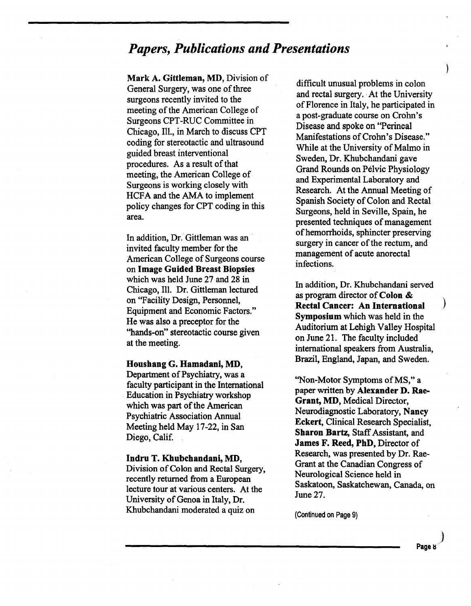## *Papers, Publications and Presentations*

Mark A. Gittleman, MD, Division of General Surgery, was one of three surgeons recently invited to the meeting of the American College of Surgeons CPT -RUC Committee in Chicago, Ill., in March to discuss CPT coding for stereotactic and ultrasound guided breast interventional procedures. As a result of that meeting, the American College of Surgeons is working closely with HCFA and the AMA to implement policy changes for CPT coding in this area.

In addition, Dr. Gittleman was an invited faculty member for the American College of Surgeons course on Image Guided Breast Biopsies which was held June 27 and 28 in Chicago, Ill. Dr. Gittleman lectured on "Facility Design, Personnel, Equipment and Economic Factors." He was also a preceptor for the "hands-on" stereotactic course given at the meeting.

#### Houshang G. Hamadani, MD,

Department of Psychiatry, was a. faculty participant in the International Education in Psychiatry workshop which was part of the American Psychiatric Association Annual Meeting held May 17-22, in San Diego, Calif.

#### Indru T. Khubchandani, MD,

Division of Colon and Rectal Surgery, recently returned from a European lecture tour at various centers. At the University of Genoa in Italy, Dr. Khubchandani moderated a quiz on

difficult unusual problems in colon and rectal surgery.· At the University of Florence in Italy, he participated in a post-graduate course on Crohn's Disease and spoke on "Perineal Manifestations of Crohn's Disease." While at the University of Malmo in Sweden, Dr. Khubchandani gave Grand Rounds on Pelvic Physiology and Experimental Laboratory and Research. At the Annual Meeting of Spanish Society of Colon and Rectal Surgeons, held in Seville, Spain, he presented techniques of management of hemorrhoids, sphincter preserving surgery in cancer of the rectum, and management of acute anorectal infections.

In addition, Dr. Khubchandani served as program director of Colon & Rectal Cancer: An International ) Symposium which was held in the. Auditorium at Lehigh Valley Hospital on June 21. The faculty included international speakers from Australia, Brazil, England, Japan, and Sweden.

"Non-Motor Symptoms of MS," a paper written by Alexander D. Rae-Grant, MD, Medical Director, Neurodiagnostic Laboratory, Nancy Eckert, Clinical Research Specialist, Sharon Bartz, Staff Assistant, and James F. Reed, PhD, Director of Research, was presented by Dr. Rae-Grant at the Canadian Congress of Neurological Science held in Saskatoon, Saskatchewan, Canada, on June 27.

(Continued on Page 9)

Page &

)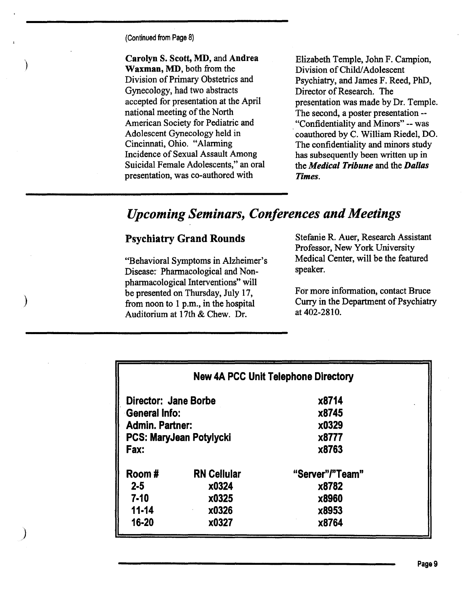(Continued from Page 8)

)

)

 $\big)$ 

Carolyn S. Scott, MD, and Andrea Waxman, MD, both from the Division of Primary Obstetrics and Gynecology, had two abstracts accepted for presentation at the April national meeting of the North American Society for Pediatric and Adolescent Gynecology held in Cincinnati, Ohio. "Alarming Incidence of Sexual Assault Among Suicidal Female Adolescents," an oral presentation, was co-authored with

Elizabeth Temple, John F. Campion, Division of Child/ Adolescent Psychiatry, and James F. Reed, PhD, Director of Research. The presentation was made by Dr. Temple. The second, a poster presentation -- . "Confidentiality and Minors" -- was coauthored by C. William Riedel, DO. The confidentiality and minors study has subsequently been written up in the *Medical Tribune* and the *Dallas Times.* 

## *Upcoming Seminars, Conferences and Meetings*

## Psychiatry Grand Rounds

"Behavioral Symptoms in Alzheimer's Disease: Pharmacological and Nonpharmacological Interventions" will be presented on Thursday, July 17, from noon to 1 p.m., in the hospital Auditorium at 17th & Chew. Dr.

Stefanie R. Auer, Research Assistant Professor, New York University Medical Center, will be the featured speaker.

For more information, contact Bruce Curry in the Department of Psychiatry at 402-2810.

| <b>New 4A PCC Unit Telephone Directory</b> |                 |  |
|--------------------------------------------|-----------------|--|
| Director: Jane Borbe                       | x8714           |  |
| <b>General Info:</b>                       | x8745           |  |
| <b>Admin. Partner:</b>                     | x0329           |  |
| <b>PCS: MaryJean Potylycki</b>             | x8777           |  |
|                                            | x8763           |  |
| <b>RN Cellular</b>                         | "Server"/"Team" |  |
| x0324                                      | x8782           |  |
| x0325                                      | x8960           |  |
| x0326                                      | x8953           |  |
| x0327                                      | x8764           |  |
|                                            |                 |  |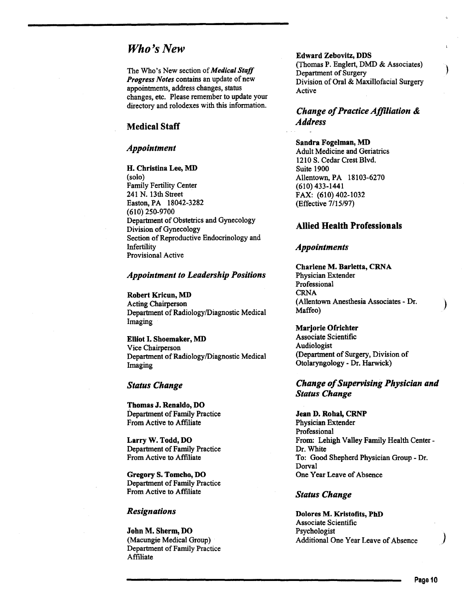### *Who's New*

The Who's New section of *Medical Staff Progress Notes* contains an update of new appointments, address changes, status changes, etc. Please remember to update your directory and rolodexes with this information.

#### Medical Staff

#### *Appointment*

ll. Christina Lee, MD (solo) Family Fertility Center 241 N. 13th Street Easton, PA 18042-3282 (610) 250-9700 Department of Obstetrics and Gynecology Division of Gynecology Section of Reproductive Endocrinology and Infertility Provisional Active

#### *Appointment to Leadership Positions*

Robert Kricun, MD Acting Chairperson Department of Radiology/Diagnostic Medical Imaging

Elliot I. Shoemaker, MD Vice Chairperson Department of Radiology/Diagnostic Medical Imaging

#### *Status Change*

Thomas J. Renaldo, DO Department of Family Practice From Active to Affiliate

Larry W. Todd, DO Department of Family Practice From Active to Affiliate

Gregory S. Tomcho, DO Department of Family Practice From Active to Affiliate

#### *Resignations*

John M. Sherm, DO (Macungie Medical Group) Department of Family Practice Affiliate

Edward Zebovitz, DDS (Thomas P. Englert, DMD & Associates) Department of Surgery Division of Oral & Maxillofacial Surgery Active

#### *Change of Practice Affiliation* & *Address*

Sandra Fogelman, MD Adult Medicine and Geriatrics 1210 S. Cedar Crest Blvd. Suite 1900 Allentown, PA 18103-6270 (610) 433-1441 FAX: (610) 402-1032 (Effective 7/15/97)

#### Allied Health Professionals

#### *Appointments*

Charlene M. Barletta, CRNA Physician Extender Professional CRNA (Allentown Anesthesia Associates - Dr. Maffeo)

Marjorie Ofrichter Associate Scientific Audiologist (Department of Surgery, Division of Otolaryngology- Dr. Harwick)

#### *Change of Supervising Physician and Status Change*

Jean D. Rohal, CRNP Physician Extender Professional From: Lehigh Valley Family Health Center-Dr. White To: Good Shepherd Physician Group- Dr. Dorval One Year Leave of Absence

#### *Status Change*

Dolores M. Kristofits, PhD Associate Scientific Psychologist Additional One Year Leave of Absence

*)*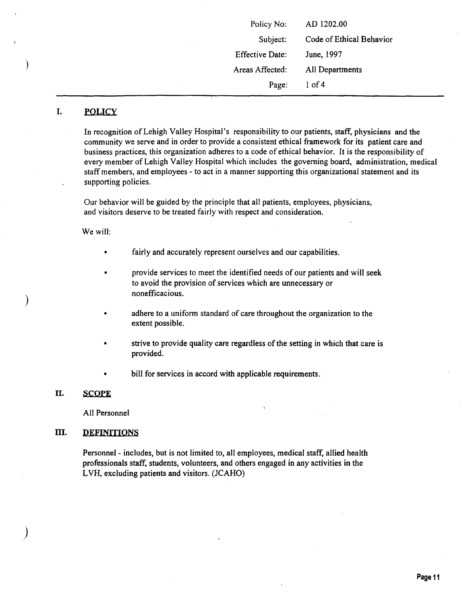Policy No: Subject: Effective Date: Areas Affected: AD 1202.00 Code of Ethical Behavior June, 1997 All Departments Page: 1 of 4

#### I. POLICY

 $\big)$ 

)

)

In recognition of Lehigh Valley Hospital's responsibility to our patients, staff, physicians and the community we serve and in order to provide a consistent ethical framework for its patient care and business practices, this organization adheres to a code of ethical behavior. It is the responsibility of every member of Lehigh Valley Hospital which includes the governing board, administration, medical staff members, and employees - to act in a manner supporting this organizational statement and its supporting policies.

Our behavior will be guided by the principle that all patients, employees, physicians, and visitors deserve to be treated fairly with respect and consideration.

We will:

- fairly and accurately represent ourselves and our capabilities.
- provide services to meet the identified needs of our patients and will seek to avoid the provision of services which are unnecessary or nonefficacious.
- adhere to a uniform standard of care throughout the organization to the extent possible.
- strive to provide quality care regardless of the setting in which that care is provided.
- bill for services in accord with applicable requirements.

#### ll. SCOPE

All Personnel

#### ill. DEFINITIONS

Personnel - includes, but is not limited to, all employees, medical staff, allied health professionals staff, students, volunteers, and others engaged in any activities in the L VH, excluding patients and visitors. (JCAHO)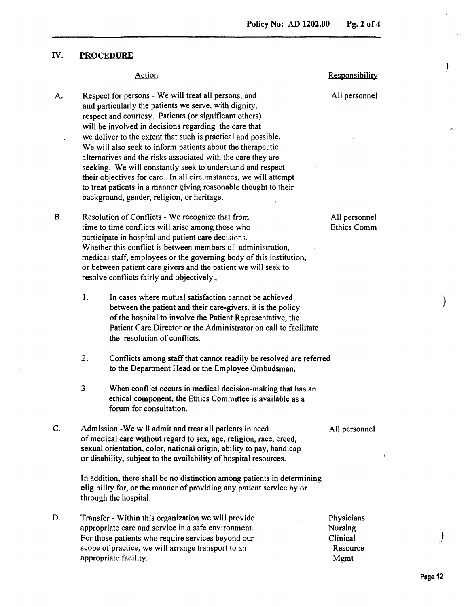#### IV. PROCEDURE

#### Action

A. Respect for persons- We will treat all persons, and and particularly the patients we serve, with dignity, respect and courtesy. Patients (or significant others) will be involved in decisions regarding the care that we deliver to the extent that such is practical and possible. We will also seek to inform patients about the therapeutic alternatives and the risks associated with the care they are seeking. We will constantly seek to understand and respect their objectives for care. In all circumstances, we will attempt to treat patients in a manner giving reasonable thought to their background, gender, religion, or heritage.

B. Resolution of Conflicts- We recognize that from time to time conflicts will arise among those who participate in hospital and patient care decisions. Whether this conflict is between members of administration, medical staff, employees or the governing body of this institution, or between patient care givers and the patient we will seek to resolve conflicts fairly and objectively.,

- 1. In cases where mutual satisfaction cannot be achieved between the patient and their care-givers, it is the policy of the hospital to involve the Patient Representative, the Patient Care Director or the Administrator on call to facilitate the resolution of conflicts.
- 2. Conflicts among staff that cannot readily be resolved are referred to the Department Head or the Employee Ombudsman.
- 3. When conflict occurs in medical decision-making that has an ethical component, the Ethics Committee is available as a forum for consultation.
- c. Admission -We will admit and treat all patients in need of medical care without regard to sex, age, religion, race, creed, sexual orientation, color, national origin, ability to pay, handicap or disability, subject to the availability of hospital resources.

In addition, there shall be no distinction among patients in determining eligibility for, or the manner of providing any patient service by or through the hospital.

D. Transfer- Within this organization we will provide appropriate care and service in a safe environment. For those patients who require services beyond our scope of practice, we will arrange transport to an appropriate facility.

**Responsibility** 

All personnel

All personnel Ethics Comm

All personnel

Physicians Nursing Clinical Resource Mgmt

)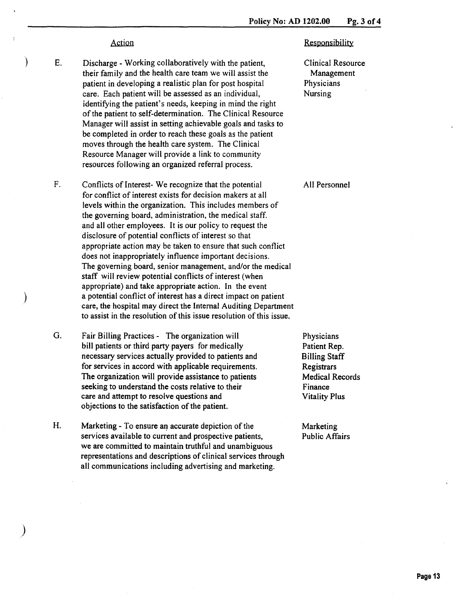E. Discharge - Working collaboratively with the patient, Clinical Resource their family and the health care team we will assist the Management patient in developing a realistic plan for post hospital Physicians care. Each patient will be assessed as an individual, Nursing identifying the patient's needs, keeping in mind the right of the patient to self-determination. The Clinical Resource Manager will assist in setting achievable goals and tasks to be completed in order to reach these goals as the patient moves through the health care system. The Clinical Resource Manager will provide a link to community resources following an organized referral process.

F. Conflicts of Interest- We recognize that the potential All Personnel for conflict of interest exists for decision makers at all levels within the organization. This includes members of the governing board, administration, the medical staff. and all other employees. It is our policy to request the disclosure of potential conflicts of interest so that appropriate action may be taken to ensure that such conflict does not inappropriately influence important decisions. The governing board, senior management, and/or the medical staff will review potential conflicts of interest (when appropriate) and take appropriate action. In the event ) a potential conflict of interest has a direct impact on patient care, the hospital may direct the Internal Auditing Department to assist in the resolution of this issue resolution of this issue.

G. Fair Billing Practices- The organization will Physicians bill patients or third party payers for medically Patient Rep. necessary services actually provided to patients and Billing Staff for services in accord with applicable requirements. Registrars The organization will provide assistance to patients Medical Records seeking to understand the costs relative to their Finance care and attempt to resolve questions and Vitality Plus objections to the satisfaction of the patient.

H. Marketing - To ensure an accurate depiction of the Marketing services available to current and prospective patients, Public Affairs we are committed to maintain truthful and unambiguous representations and descriptions of clinical services through all communications including advertising and marketing.

)

# Action extensibility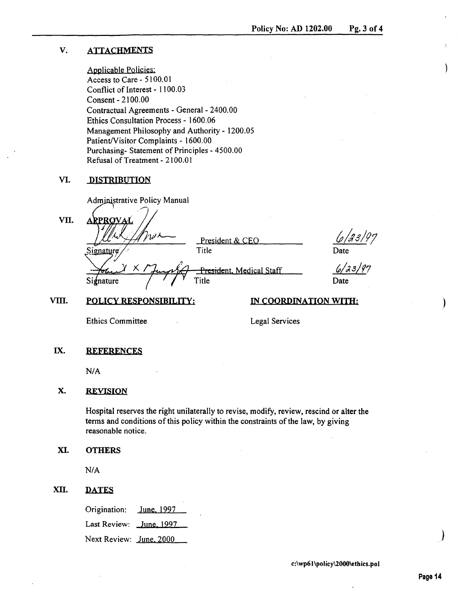#### V. ATTACHMENTS

Applicable Policies: Access to Care- 5100.01 Conflict of Interest - 1100.03 Consent- 2100.00 Contractual Agreements- General- 2400.00 Ethics Consultation Process- 1600.06 Management Philosophy and Authority- 1200.05 Patient/Visitor Complaints- 1600.00 Purchasing- Statement of Principles - 4500.00 Refusal of Treatment- 2100.01

#### VI. DISTRIBUTION

Administrative Policy Manual

VII.  $\frac{APROVAL}{URAL}$ <br>President & CEO **Title** Signature President, Medical Staff Title  $Si\angle$ *f* nature

VIII. POLICY RESPONSIBILITY: IN COORDINATION WITH:

 $6/33/97$ 

6/23/97<br>Date

Date

Ethics Committee Legal Services

#### IX. REFERENCES

N/A

#### X. REVISION

Hospital reserves the right unilaterally to revise, modify, review, rescind or alter the terms and conditions of this policy within the constraints of the law, by giving reasonable notice.

#### XI. OTHERS

N/A

#### XII. DATES

Origination: June. 1997

Last Review: June, 1997

Next Review: June. 2000

)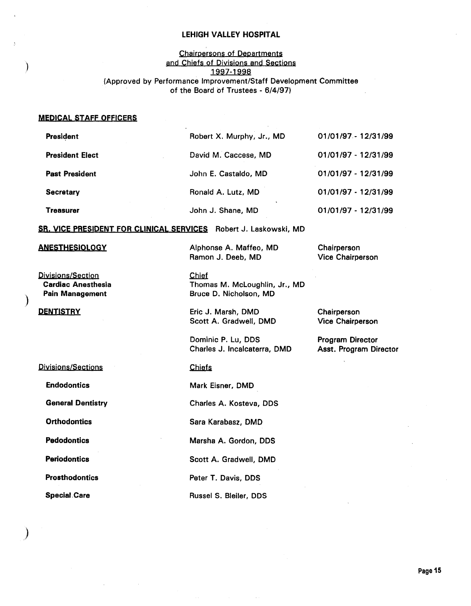#### LEHIGH VALLEY HOSPITAL

#### Chairoersons of Departments and Chiefs of Diyisions and Sections 1997-1998 (Approved by Performance Improvement/Staff Development Committee of the Board of Trustees - 6/4/97)

#### MEDICAL STAFF OFFICERS

| <b>President</b>       | Robert X. Murphy, Jr., MD | 01/01/97 - 12/31/99 |
|------------------------|---------------------------|---------------------|
| <b>President Elect</b> | David M. Caccese, MD      | 01/01/97 - 12/31/99 |
| <b>Past President</b>  | John E. Castaldo, MD      | 01/01/97 - 12/31/99 |
| <b>Secretary</b>       | Ronald A. Lutz, MD        | 01/01/97 - 12/31/99 |
| Treasurer              | John J. Shane, MD         | 01/01/97 - 12/31/99 |

SR. VICE PRESIDENT FOR CLINICAL SERVICES Robert J. Laskowski, MD

#### **ANESTHESIOLOGY**

Divisions/Section Cardiac Anesthesia Pain Management

**DENTISTRY** 

 $\big)$ 

 $\big)$ 

Divisions/Sections

Endodontics

General Dentistry

**Orthodontics** 

**Pedodontics** 

**Periodontics** 

Prosthodontics

Special .Care

Alphonse A. Maffeo, MD Ramon J. Deeb, MD

Chief Thomas M. McLoughlin, Jr., MD Bruce D. Nicholson, MD

Eric J. Marsh, DMD Scott A. Gradwell, DMD

Dominic P. Lu, DDS Charles J. lncalcaterra, DMD

#### **Chiefs**

Mark Eisner, DMD

Charles A. Kosteva, DDS

Sara Karabasz, DMD

Marsha A. Gordon, DDS

Scott A. Gradwell, DMD

Peter T. Davis, DDS

Russel S. Bleiler, DDS

**Chairperson** Vice Chairperson

**Chairperson** Vice Chairperson

Program Director Asst. Program Director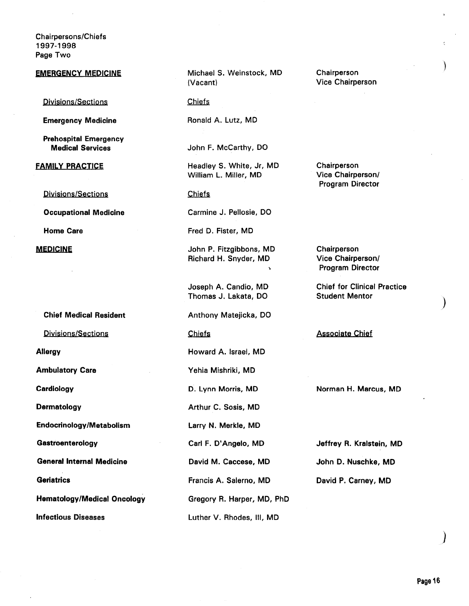Chairpersons/Chiefs 1997-1998 Page Two

#### EMERGENCY MEDICINE

**Divisions/Sections** 

Emergency Medicine

Prehospital Emergency Medical Services

#### FAMILY PRACTICE

Divisions/Sections

Occupational Medicine

Home Care

MEDICINE

Chief Medical Resident Divisions/Sections Allergy Ambulatory Care **Cardiology** Dermatology Endocrinology /Metabolism **Gastroenterology** General Internal Medicine **Geriatrics** Hematology /Medical Oncology

Infectious Diseases

Michael S. Weinstock, MD Chairperson (Vacant) Vice Chairperson

Chiefs

Ronald A. Lutz, MD

John F. McCarthy, DO

Headley S. White, Jr, MD Chairperson<br>
William L. Miller, MD Vice Chairperson/ William L. Miller, MD

Chiefs

Carmine J. Pellosie, DO

Fred D. Fister, MD

John P. Fitzgibbons, MD Chairperson Richard H. Snyder, MD Vice Chairperson/

Thomas J. Lakata, DO Student Mentor

Anthony Matejicka, DO

Howard A. Israel, MD

Yehia Mishriki, MD

Arthur C. Sosis, MD

Larry N. Merkle, MD

Gregory R. Harper, MD, PhD

Luther V. Rhodes, Ill, MD

Program Director

Program Director

Joseph A. Candio, MD Chief for Clinical Practice

#### Chiefs **Associate Chief**

D. Lynn Morris, MD Norman H. Marcus, MD

Carl F. D'Angelo, MD Jeffrey R. Kralstein, MD David M. Caccese, MD John D. Nuschke, MD Francis A. Salerno, MD David P. Carney, MD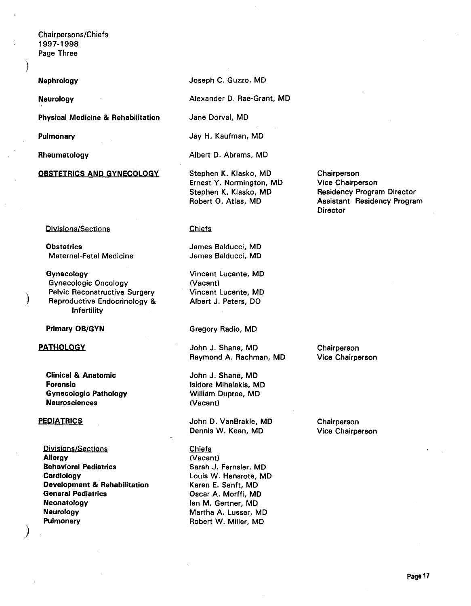Chairpersons/Chiefs 1997-1998 Page Three

Nephrology

Neurology

Physical Medicine & Rehabilitation

Pulmonary

Rheumatology

#### OBSTETRICS AND GYNECOLOGY

Divisions/Sections

**Obstetrics** Maternal-Fetal Medicine

Gynecology Gynecologic Oncology Pelvic Reconstructive Surgery Reproductive Endocrinology & Infertility

Primary OB/GYN

#### PATHOLOGY

)

)

Clinical & Anatomic Forensic Gynecologic Pathology Neurosciences

#### PEDIATRICS

**Divisions/Sections Allergy** Behavioral Pediatrics **Cardiology** Development & Rehabilitation General Pediatrics Neonatology Neurology Pulmonary

Joseph C. Guzzo, MD

Alexander D. Rae-Grant, MD

Jane Dorval, MD

Jay H. Kaufman, MD

Albert D. Abrams, MD

Stephen K. Klasko, MD Ernest Y. Normington, MD Stephen K. Klasko, MD Robert 0. Atlas, MD

#### **Chiefs**

James Balducci, MD James Balducci, MD

Vincent Lucente, MD (Vacant) Vincent Lucente, MD Albert J. Peters, DO

Gregory Radio, MD

John J. Shane, MD Raymond A. Rachman, MD

John J. Shane, MD Isidore Mihalakis, MD William Dupree, MD (Vacant)

John D. VanBrakle, MD Dennis W. Kean, MD

**Chiefs** (Vacant) Sarah J. Fernsler, MD Louis W. Hansrote, MD Karen E. Senft, MD Oscar A. Morffi, MD lan M. Gertner, MD Martha A. Lusser, MD Robert W. Miller, MD

**Chairperson** Vice Chairperson Residency Program Director Assistant Residency Program **Director** 

**Chairperson** Vice Chairperson

**Chairperson** Vice Chairperson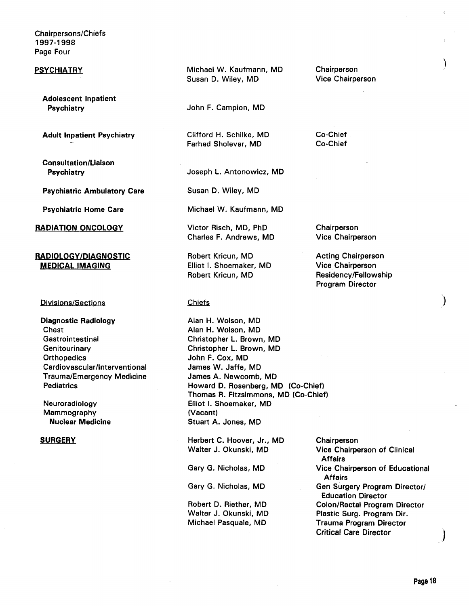Chairpersons/Chiefs 1997-1998 Page Four

#### **PSYCHIATRY**

Adolescent Inpatient Psychiatry

Adult Inpatient Psychiatry

Consultation/Liaison **Psychiatry** 

Psychiatric Ambulatory Care

Psychiatric Home Care

RADIATION ONCOLOGY

RADIOLOGY/DIAGNOSTIC **MEDICAL IMAGING** 

Divisions/Sections

Diagnostic Radiology **Chest Gastrointestinal Genitourinary Orthopedics** Cardiovascular/lnterventional Trauma/Emergency Medicine **Pediatrics** 

Neuroradiology Mammography Nuclear Medicine

#### **SURGERY**

Michael W. Kaufmann, MD Susan D. Wiley, MD

John F. Campion, MD

Clifford H. Schilke, MD Farhad Sholevar, MD

Joseph L. Antonowicz, MD

Susan D. Wiley, MD

Michael W. Kaufmann, MD

Victor Risch, MD, PhD Charles F. Andrews, MD

Robert Kricun, MD Elliot I. Shoemaker, MD Robert Kricun, MD

#### Chiefs

Alan H. Wolson, MD Alan H. Wolson, MD Christopher L. Brown, MD Christopher L. Brown, MD John F. Cox, MD James W. Jaffe, MD James A. Newcomb, MD Howard D. Rosenberg, MD (Co-Chief) Thomas R. Fitzsimmons, MD (Co-Chief) Elliot I. Shoemaker, MD (Vacant) Stuart A. Jones, MD

Herbert C. Hoover, Jr., MD Walter J. Okunski, MD

Gary G. Nicholas, MD

Gary G. Nicholas, MD

Robert D. Riether, MD Walter J. Okunski, MD Michael Pasquale, MD

**Chairperson** Vice Chairperson )

)

Co-Chief Co-Chief

**Chairperson** Vice Chairperson

Acting Chairperson Vice Chairperson Residency/Fellowship Program Director

**Chairperson** Vice Chairperson of Clinical Affairs Vice Chairperson of Educational Affairs Gen Surgery Program Director/ Education Director Colon/Rectal Program Director Plastic Surg. Program Dir. Trauma Program Director Critical Care Director

 $\int$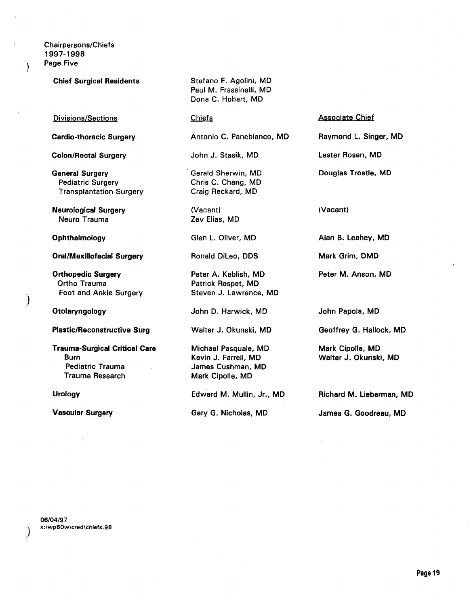Chairpersons/Chiefs 1997-1998 Page Five

Chief Surgical Residents

Divisions/Sections

Cardia-thoracic Surgery

Colon/Rectal Surgery

General Surgery Pediatric Surgery Transplantation Surgery

Neurological Surgery Neuro Trauma

**Ophthalmology** 

Oral/Maxillofacial Surgery

Orthopedic Surgery Ortho Trauma Foot and Ankle Surgery

Otolaryngology

)

)

Plastic/Reconstructive Surg

Trauma-Surgical Critical Care Burn Pediatric Trauma Trauma Research

**Urology** 

Vascular Surgery

Stefano F. Agolini, MD Paul M. Frassinelli, MD Dona C. Hobart, MD

Chiefs

Antonio C. Panebianco, MD

John J. Stasik, MD

Gerald Sherwin, MD Chris C. Chang, MD Craig Reckard, MD

(Vacant) Zev Elias, MD

Glen L. Oliver, MD

Ronald Dileo, DDS

Peter A. Keblish, MD Patrick Respet, MD Steven J. Lawrence, MD

John D. Harwick, MD

Walter J. Okunski, MD

Michael Pasquale, MD Kevin J. Farrell, MD James Cushman, MD Mark Cipolle, MD

Edward M. Mullin, Jr., MD

Gary G. Nicholas, MD

**Associate Chief** 

Raymond L. Singer, MD

Lester Rosen, MD

Douglas Trostle, MD

(Vacant)

Alan B. Leahey, MD

Mark Grim, DMD

Peter M. Anson, MD

John Papola, MD

Geoffrey G. Hallock, MD

Mark Cipolle, MD Walter J. Okunski, MD

Richard M. Lieberman, MD

James G. Goodreau, MD

06/04/97 x:\wp60w\cred\chiefs. 98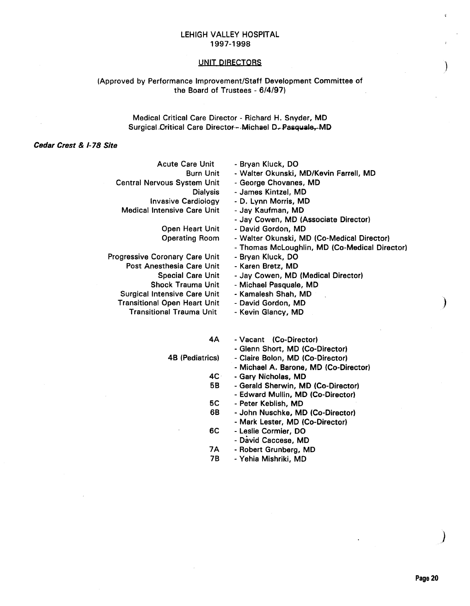#### LEHIGH VALLEY HOSPITAL 1997-1998

#### UNIT DIRECTORS

#### (Approved by Performance Improvement/Staff Development Committee of the Board of Trustees - 6/4/97)

Medical Critical Care Director- Richard H. Snyder, MD Surgical Critical Care Director-~Michael D. Pasquale, MD

#### Cedar Crest & 1-78 Site

| <b>Acute Care Unit</b>              | - Bryan Kluck, DO                             |
|-------------------------------------|-----------------------------------------------|
| <b>Burn Unit</b>                    | - Walter Okunski, MD/Kevin Farrell, MD        |
| <b>Central Nervous System Unit</b>  | - George Chovanes, MD                         |
| <b>Dialysis</b>                     | - James Kintzel, MD                           |
| <b>Invasive Cardiology</b>          | - D. Lynn Morris, MD                          |
| Medical Intensive Care Unit         | - Jav Kaufman, MD                             |
|                                     | - Jay Cowen, MD (Associate Director)          |
| Open Heart Unit                     | - David Gordon, MD                            |
| <b>Operating Room</b>               | - Walter Okunski, MD (Co-Medical Director)    |
|                                     | - Thomas McLoughlin, MD (Co-Medical Director) |
| Progressive Coronary Care Unit      | - Bryan Kluck, DO                             |
| Post Anesthesia Care Unit           | - Karen Bretz, MD                             |
| <b>Special Care Unit</b>            | - Jay Cowen, MD (Medical Director)            |
| <b>Shock Trauma Unit</b>            | - Michael Pasquale, MD                        |
| <b>Surgical Intensive Care Unit</b> | - Kamalesh Shah, MD                           |
| <b>Transitional Open Heart Unit</b> | - David Gordon, MD                            |
| Transitional Trauma Unit            | - Kevin Glancy, MD                            |
|                                     |                                               |
|                                     |                                               |

4A - Vacant (Co-Director)

|                 | - Glenn Short, MD (Co-Director)       |
|-----------------|---------------------------------------|
| 4B (Pediatrics) | - Claire Bolon, MD (Co-Director)      |
|                 | - Michael A. Barone, MD (Co-Director) |
| 4C ·            | - Gary Nicholas, MD                   |
| 5B              | - Gerald Sherwin, MD (Co-Director)    |
|                 | - Edward Mullin, MD (Co-Director)     |
| 5C              | - Peter Keblish, MD                   |
| 6B              | - John Nuschke, MD (Co-Director)      |
|                 | - Mark Lester, MD (Co-Director)       |
| 6C              | - Leslie Cormier, DO                  |
|                 | - David Caccese, MD                   |
| 7Α              | - Robert Grunberg, MD                 |
|                 |                                       |

7B - Yehia Mishriki, MD

*)*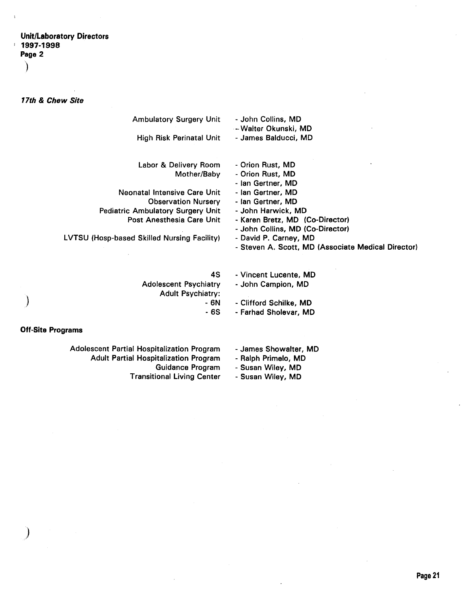#### Unit/Laboratory Directors  $1997-1998$ Page 2 )

*77th* & *Chew Site* 

| <b>Ambulatory Surgery Unit</b><br><b>High Risk Perinatal Unit</b> | - John Collins, MD<br>-- Walter Okunski, MD<br>- James Balducci, MD |
|-------------------------------------------------------------------|---------------------------------------------------------------------|
| Labor & Delivery Room                                             | - Orion Rust, MD                                                    |
| Mother/Baby                                                       | - Orion Rust, MD                                                    |
|                                                                   | - Ian Gertner, MD                                                   |
| Neonatal Intensive Care Unit                                      | - Ian Gertner, MD                                                   |
| <b>Observation Nursery</b>                                        | - Ian Gertner, MD                                                   |
| <b>Pediatric Ambulatory Surgery Unit</b>                          | - John Harwick, MD                                                  |
| Post Anesthesia Care Unit                                         | - Karen Bretz, MD (Co-Director)                                     |
|                                                                   | - John Collins, MD (Co-Director)                                    |
| <b>LVTSU (Hosp-based Skilled Nursing Facility)</b>                | - David P. Carney, MD                                               |
|                                                                   | - Steven A. Scott, MD (Associate Medical Director)                  |
|                                                                   |                                                                     |

4S Adolescent Psychiatry Adult Psychiatry: - 6N - 6S

Off-Site Programs

)

 $\big)$ 

Adolescent Partial Hospitalization Program Adult Partial Hospitalization Program Guidance Program Transitional Living Center

- Vincent Lucente, MD - John Campion, MD

-Clifford Schilke, MD - Farhad Sholevar, MD

- James Showalter, MD

- Ralph Primelo, MD -Susan Wiley, MD
- 
- -Susan Wiley, MD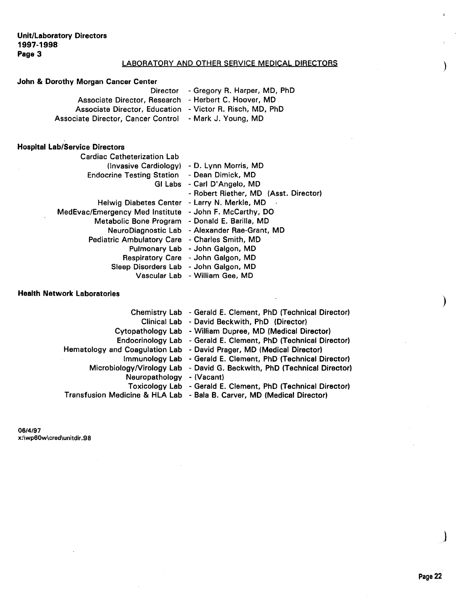Unit/Laboratory Directors 1997-1998 Page 3

#### LABORATORY AND OTHER SERVICE MEDICAL DIRECTORS

| John & Dorothy Morgan Cancer Center<br>Associate Director, Research - Herbert C. Hoover, MD<br><b>Associate Director, Education</b><br><b>Associate Director, Cancer Control</b> | Director - Gregory R. Harper, MD, PhD<br>- Victor R. Risch, MD, PhD<br>- Mark J. Young, MD |
|----------------------------------------------------------------------------------------------------------------------------------------------------------------------------------|--------------------------------------------------------------------------------------------|
| <b>Hospital Lab/Service Directors</b>                                                                                                                                            |                                                                                            |
| <b>Cardiac Catheterization Lab</b>                                                                                                                                               |                                                                                            |
|                                                                                                                                                                                  | (Invasive Cardiology) - D. Lynn Morris, MD                                                 |
| Endocrine Testing Station - Dean Dimick, MD                                                                                                                                      |                                                                                            |
|                                                                                                                                                                                  | GI Labs - Carl D'Angelo, MD                                                                |
|                                                                                                                                                                                  | - Robert Riether, MD (Asst. Director)                                                      |
| <b>Helwig Diabetes Center</b>                                                                                                                                                    | - Larry N. Merkle, MD                                                                      |
| MedEvac/Emergency Med Institute - John F. McCarthy, DO                                                                                                                           |                                                                                            |
| Metabolic Bone Program - Donald E. Barilla, MD                                                                                                                                   |                                                                                            |
|                                                                                                                                                                                  | NeuroDiagnostic Lab - Alexander Rae-Grant, MD                                              |
| Pediatric Ambulatory Care - Charles Smith, MD                                                                                                                                    |                                                                                            |
|                                                                                                                                                                                  | Pulmonary Lab - John Galgon, MD                                                            |
|                                                                                                                                                                                  | Respiratory Care - John Galgon, MD                                                         |
| Sleep Disorders Lab - John Galgon, MD                                                                                                                                            |                                                                                            |
|                                                                                                                                                                                  | Vascular Lab - William Gee, MD                                                             |
|                                                                                                                                                                                  |                                                                                            |

#### Health Network Laboratories

|                           | Chemistry Lab - Gerald E. Clement, PhD (Technical Director)             |
|---------------------------|-------------------------------------------------------------------------|
|                           | Clinical Lab - David Beckwith, PhD (Director)                           |
|                           | Cytopathology Lab - William Dupree, MD (Medical Director)               |
|                           | Endocrinology Lab - Gerald E. Clement, PhD (Technical Director)         |
|                           | Hematology and Coagulation Lab - David Prager, MD (Medical Director)    |
|                           | Immunology Lab - Gerald E. Clement, PhD (Technical Director)            |
|                           | Microbiology/Virology Lab - David G. Beckwith, PhD (Technical Director) |
| Neuropathology - (Vacant) |                                                                         |
|                           | Toxicology Lab - Gerald E. Clement, PhD (Technical Director)            |
|                           | Transfusion Medicine & HLA Lab - Bala B. Carver, MD (Medical Director)  |

06/4/97 x:\wp60w\cred\unitdir .98

 $\mathbf{J}_{\mathbf{u}}$ 

)

 $\mathbf{d}$